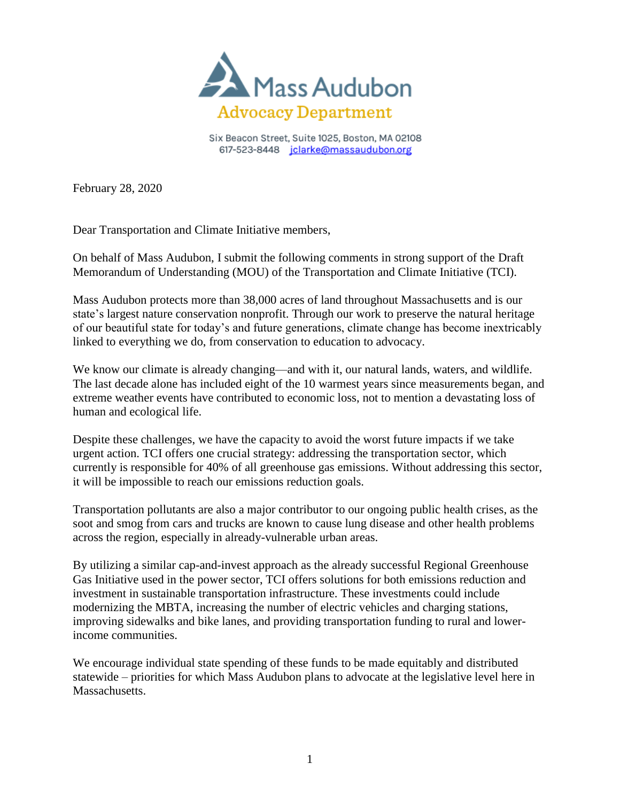

Six Beacon Street, Suite 1025, Boston, MA 02108 617-523-8448 jclarke@massaudubon.org

February 28, 2020

Dear Transportation and Climate Initiative members,

On behalf of Mass Audubon, I submit the following comments in strong support of the Draft Memorandum of Understanding (MOU) of the Transportation and Climate Initiative (TCI).

Mass Audubon protects more than 38,000 acres of land throughout Massachusetts and is our state's largest nature conservation nonprofit. Through our work to preserve the natural heritage of our beautiful state for today's and future generations, climate change has become inextricably linked to everything we do, from conservation to education to advocacy.

We know our climate is already changing—and with it, our natural lands, waters, and wildlife. The last decade alone has included eight of the 10 warmest years since measurements began, and extreme weather events have contributed to economic loss, not to mention a devastating loss of human and ecological life.

Despite these challenges, we have the capacity to avoid the worst future impacts if we take urgent action. TCI offers one crucial strategy: addressing the transportation sector, which currently is responsible for 40% of all greenhouse gas emissions. Without addressing this sector, it will be impossible to reach our emissions reduction goals.

Transportation pollutants are also a major contributor to our ongoing public health crises, as the soot and smog from cars and trucks are known to cause lung disease and other health problems across the region, especially in already-vulnerable urban areas.

By utilizing a similar cap-and-invest approach as the already successful Regional Greenhouse Gas Initiative used in the power sector, TCI offers solutions for both emissions reduction and investment in sustainable transportation infrastructure. These investments could include modernizing the MBTA, increasing the number of electric vehicles and charging stations, improving sidewalks and bike lanes, and providing transportation funding to rural and lowerincome communities.

We encourage individual state spending of these funds to be made equitably and distributed statewide – priorities for which Mass Audubon plans to advocate at the legislative level here in Massachusetts.